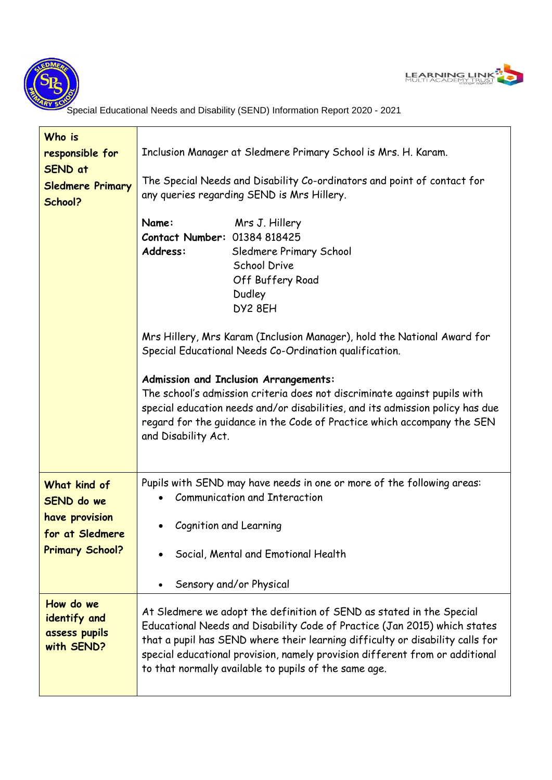



Special Educational Needs and Disability (SEND) Information Report 2020 - 2021

| Who is<br>responsible for<br>SEND at<br><b>Sledmere Primary</b><br>School?                       | Inclusion Manager at Sledmere Primary School is Mrs. H. Karam.<br>The Special Needs and Disability Co-ordinators and point of contact for<br>any queries regarding SEND is Mrs Hillery.<br>Name:<br>Mrs J. Hillery<br>Contact Number: 01384 818425                                                                                                                                                                                         |
|--------------------------------------------------------------------------------------------------|--------------------------------------------------------------------------------------------------------------------------------------------------------------------------------------------------------------------------------------------------------------------------------------------------------------------------------------------------------------------------------------------------------------------------------------------|
|                                                                                                  | Address:<br>Sledmere Primary School<br><b>School Drive</b><br>Off Buffery Road<br>Dudley<br>DY2 8EH                                                                                                                                                                                                                                                                                                                                        |
|                                                                                                  | Mrs Hillery, Mrs Karam (Inclusion Manager), hold the National Award for<br>Special Educational Needs Co-Ordination qualification.<br>Admission and Inclusion Arrangements:<br>The school's admission criteria does not discriminate against pupils with<br>special education needs and/or disabilities, and its admission policy has due<br>regard for the guidance in the Code of Practice which accompany the SEN<br>and Disability Act. |
| What kind of<br><b>SEND</b> do we<br>have provision<br>for at Sledmere<br><b>Primary School?</b> | Pupils with SEND may have needs in one or more of the following areas:<br><b>Communication and Interaction</b><br>Cognition and Learning<br>Social, Mental and Emotional Health<br>Sensory and/or Physical                                                                                                                                                                                                                                 |
| How do we<br>identify and<br>assess pupils<br>with SEND?                                         | At Sledmere we adopt the definition of SEND as stated in the Special<br>Educational Needs and Disability Code of Practice (Jan 2015) which states<br>that a pupil has SEND where their learning difficulty or disability calls for<br>special educational provision, namely provision different from or additional<br>to that normally available to pupils of the same age.                                                                |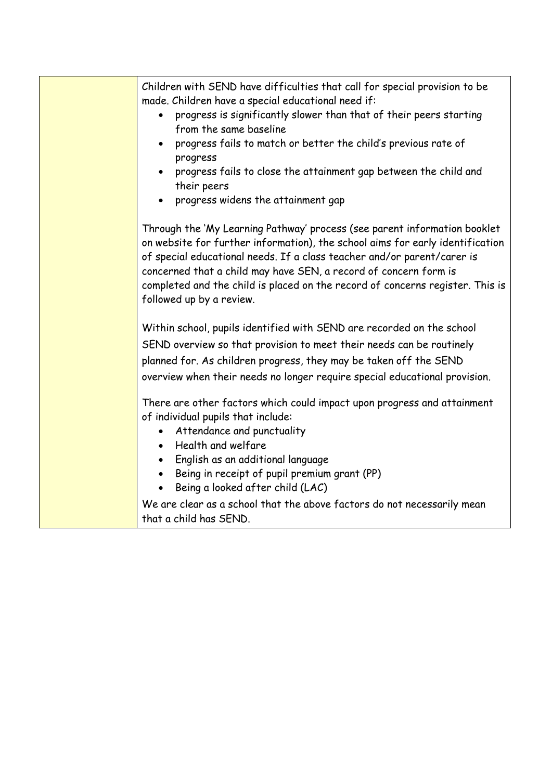| Children with SEND have difficulties that call for special provision to be<br>made. Children have a special educational need if:<br>progress is significantly slower than that of their peers starting<br>from the same baseline<br>progress fails to match or better the child's previous rate of<br>progress<br>progress fails to close the attainment gap between the child and<br>their peers<br>progress widens the attainment gap |
|-----------------------------------------------------------------------------------------------------------------------------------------------------------------------------------------------------------------------------------------------------------------------------------------------------------------------------------------------------------------------------------------------------------------------------------------|
| Through the 'My Learning Pathway' process (see parent information booklet<br>on website for further information), the school aims for early identification<br>of special educational needs. If a class teacher and/or parent/carer is<br>concerned that a child may have SEN, a record of concern form is<br>completed and the child is placed on the record of concerns register. This is<br>followed up by a review.                  |
| Within school, pupils identified with SEND are recorded on the school<br>SEND overview so that provision to meet their needs can be routinely<br>planned for. As children progress, they may be taken off the SEND<br>overview when their needs no longer require special educational provision.                                                                                                                                        |
| There are other factors which could impact upon progress and attainment<br>of individual pupils that include:<br>Attendance and punctuality<br>Health and welfare<br>$\bullet$<br>English as an additional language<br>$\bullet$<br>Being in receipt of pupil premium grant (PP)<br>$\bullet$<br>Being a looked after child (LAC)                                                                                                       |
| We are clear as a school that the above factors do not necessarily mean<br>that a child has SEND.                                                                                                                                                                                                                                                                                                                                       |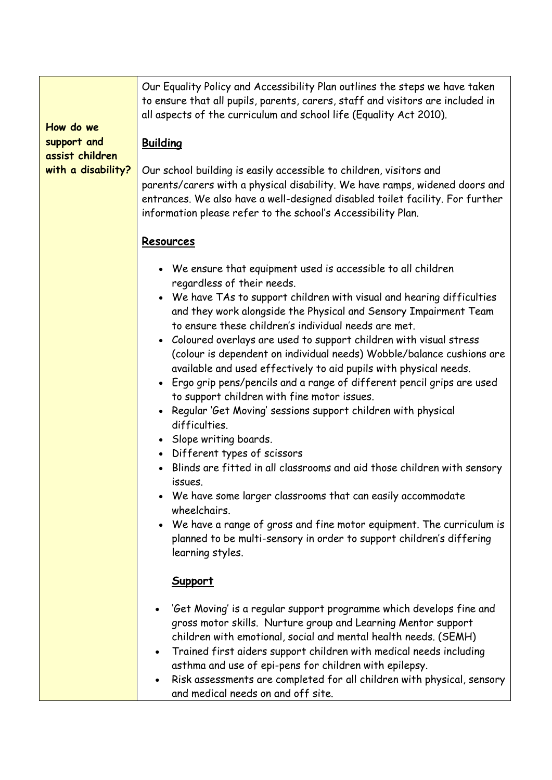| How do we<br>support and<br>assist children<br>with a disability? | Our Equality Policy and Accessibility Plan outlines the steps we have taken<br>to ensure that all pupils, parents, carers, staff and visitors are included in<br>all aspects of the curriculum and school life (Equality Act 2010).<br><b>Building</b><br>Our school building is easily accessible to children, visitors and<br>parents/carers with a physical disability. We have ramps, widened doors and<br>entrances. We also have a well-designed disabled toilet facility. For further<br>information please refer to the school's Accessibility Plan.                                                                                                                                                                                                                                                                                                                                                                                                                                                                                                                                                                                             |
|-------------------------------------------------------------------|----------------------------------------------------------------------------------------------------------------------------------------------------------------------------------------------------------------------------------------------------------------------------------------------------------------------------------------------------------------------------------------------------------------------------------------------------------------------------------------------------------------------------------------------------------------------------------------------------------------------------------------------------------------------------------------------------------------------------------------------------------------------------------------------------------------------------------------------------------------------------------------------------------------------------------------------------------------------------------------------------------------------------------------------------------------------------------------------------------------------------------------------------------|
|                                                                   | Resources<br>• We ensure that equipment used is accessible to all children<br>regardless of their needs.<br>• We have TAs to support children with visual and hearing difficulties<br>and they work alongside the Physical and Sensory Impairment Team<br>to ensure these children's individual needs are met.<br>• Coloured overlays are used to support children with visual stress<br>(colour is dependent on individual needs) Wobble/balance cushions are<br>available and used effectively to aid pupils with physical needs.<br>• Ergo grip pens/pencils and a range of different pencil grips are used<br>to support children with fine motor issues.<br>• Regular 'Get Moving' sessions support children with physical<br>difficulties.<br>• Slope writing boards.<br>• Different types of scissors<br>• Blinds are fitted in all classrooms and aid those children with sensory<br>issues.<br>• We have some larger classrooms that can easily accommodate<br>wheelchairs.<br>We have a range of gross and fine motor equipment. The curriculum is<br>planned to be multi-sensory in order to support children's differing<br>learning styles. |
|                                                                   | <b>Support</b><br>'Get Moving' is a regular support programme which develops fine and<br>gross motor skills. Nurture group and Learning Mentor support<br>children with emotional, social and mental health needs. (SEMH)<br>Trained first aiders support children with medical needs including<br>$\bullet$<br>asthma and use of epi-pens for children with epilepsy.<br>Risk assessments are completed for all children with physical, sensory<br>and medical needs on and off site.                                                                                                                                                                                                                                                                                                                                                                                                                                                                                                                                                                                                                                                                   |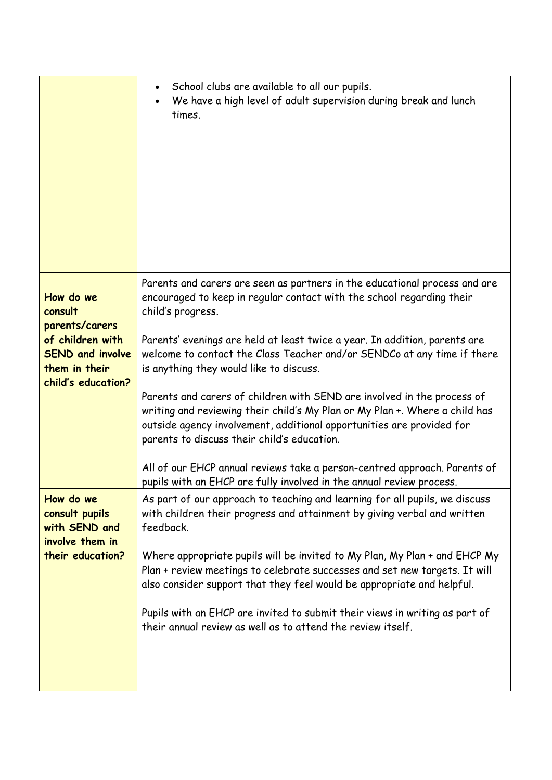|                                                                                    | School clubs are available to all our pupils.<br>$\bullet$<br>We have a high level of adult supervision during break and lunch<br>times.                                                                                                                                       |
|------------------------------------------------------------------------------------|--------------------------------------------------------------------------------------------------------------------------------------------------------------------------------------------------------------------------------------------------------------------------------|
| How do we<br>consult<br>parents/carers                                             | Parents and carers are seen as partners in the educational process and are<br>encouraged to keep in regular contact with the school regarding their<br>child's progress.                                                                                                       |
| of children with<br><b>SEND and involve</b><br>them in their<br>child's education? | Parents' evenings are held at least twice a year. In addition, parents are<br>welcome to contact the Class Teacher and/or SENDCo at any time if there<br>is anything they would like to discuss.                                                                               |
|                                                                                    | Parents and carers of children with SEND are involved in the process of<br>writing and reviewing their child's My Plan or My Plan +. Where a child has<br>outside agency involvement, additional opportunities are provided for<br>parents to discuss their child's education. |
|                                                                                    | All of our EHCP annual reviews take a person-centred approach. Parents of<br>pupils with an EHCP are fully involved in the annual review process.                                                                                                                              |
| How do we<br>consult pupils<br>with SEND and<br>involve them in                    | As part of our approach to teaching and learning for all pupils, we discuss<br>with children their progress and attainment by giving verbal and written<br>feedback.                                                                                                           |
| their education?                                                                   | Where appropriate pupils will be invited to My Plan, My Plan + and EHCP My<br>Plan + review meetings to celebrate successes and set new targets. It will<br>also consider support that they feel would be appropriate and helpful.                                             |
|                                                                                    | Pupils with an EHCP are invited to submit their views in writing as part of<br>their annual review as well as to attend the review itself.                                                                                                                                     |
|                                                                                    |                                                                                                                                                                                                                                                                                |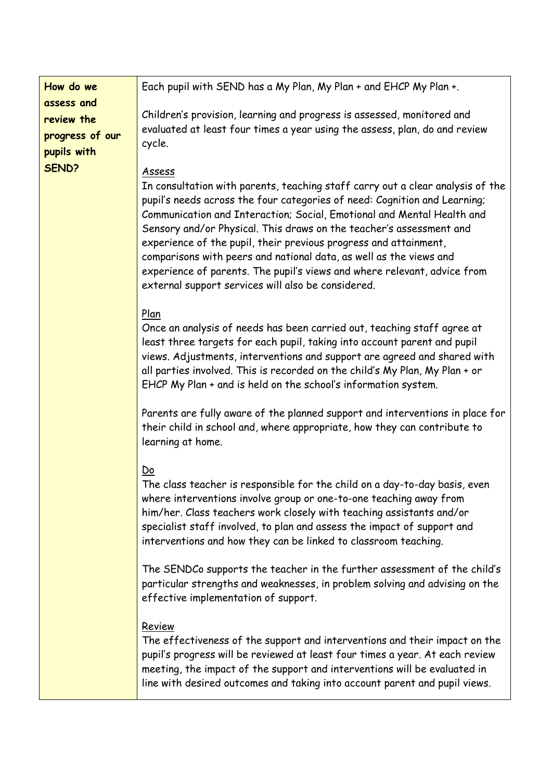| How do we                                                  | Each pupil with SEND has a My Plan, My Plan + and EHCP My Plan +.                                                                                                                                                                                                                                                                                                                                                                                                                                                                                                                                         |
|------------------------------------------------------------|-----------------------------------------------------------------------------------------------------------------------------------------------------------------------------------------------------------------------------------------------------------------------------------------------------------------------------------------------------------------------------------------------------------------------------------------------------------------------------------------------------------------------------------------------------------------------------------------------------------|
| assess and<br>review the<br>progress of our<br>pupils with | Children's provision, learning and progress is assessed, monitored and<br>evaluated at least four times a year using the assess, plan, do and review<br>cycle.                                                                                                                                                                                                                                                                                                                                                                                                                                            |
| SEND?                                                      | <b>Assess</b><br>In consultation with parents, teaching staff carry out a clear analysis of the<br>pupil's needs across the four categories of need: Cognition and Learning;<br>Communication and Interaction; Social, Emotional and Mental Health and<br>Sensory and/or Physical. This draws on the teacher's assessment and<br>experience of the pupil, their previous progress and attainment,<br>comparisons with peers and national data, as well as the views and<br>experience of parents. The pupil's views and where relevant, advice from<br>external support services will also be considered. |
|                                                            | Plan<br>Once an analysis of needs has been carried out, teaching staff agree at<br>least three targets for each pupil, taking into account parent and pupil<br>views. Adjustments, interventions and support are agreed and shared with<br>all parties involved. This is recorded on the child's My Plan, My Plan + or<br>EHCP My Plan + and is held on the school's information system.                                                                                                                                                                                                                  |
|                                                            | Parents are fully aware of the planned support and interventions in place for<br>their child in school and, where appropriate, how they can contribute to<br>learning at home.                                                                                                                                                                                                                                                                                                                                                                                                                            |
|                                                            | Do<br>The class teacher is responsible for the child on a day-to-day basis, even<br>where interventions involve group or one-to-one teaching away from<br>him/her. Class teachers work closely with teaching assistants and/or<br>specialist staff involved, to plan and assess the impact of support and<br>interventions and how they can be linked to classroom teaching.                                                                                                                                                                                                                              |
|                                                            | The SENDCo supports the teacher in the further assessment of the child's<br>particular strengths and weaknesses, in problem solving and advising on the<br>effective implementation of support.                                                                                                                                                                                                                                                                                                                                                                                                           |
|                                                            | Review<br>The effectiveness of the support and interventions and their impact on the<br>pupil's progress will be reviewed at least four times a year. At each review<br>meeting, the impact of the support and interventions will be evaluated in<br>line with desired outcomes and taking into account parent and pupil views.                                                                                                                                                                                                                                                                           |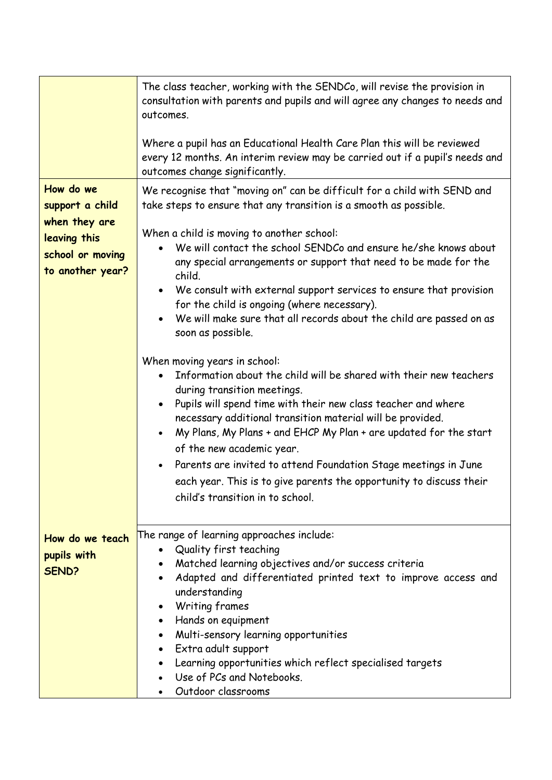|                                                                                                       | The class teacher, working with the SENDCo, will revise the provision in<br>consultation with parents and pupils and will agree any changes to needs and<br>outcomes.<br>Where a pupil has an Educational Health Care Plan this will be reviewed<br>every 12 months. An interim review may be carried out if a pupil's needs and                                                                                                                                                                                                                                           |
|-------------------------------------------------------------------------------------------------------|----------------------------------------------------------------------------------------------------------------------------------------------------------------------------------------------------------------------------------------------------------------------------------------------------------------------------------------------------------------------------------------------------------------------------------------------------------------------------------------------------------------------------------------------------------------------------|
|                                                                                                       | outcomes change significantly.                                                                                                                                                                                                                                                                                                                                                                                                                                                                                                                                             |
| How do we<br>support a child<br>when they are<br>leaving this<br>school or moving<br>to another year? | We recognise that "moving on" can be difficult for a child with SEND and<br>take steps to ensure that any transition is a smooth as possible.<br>When a child is moving to another school:<br>We will contact the school SENDCo and ensure he/she knows about<br>any special arrangements or support that need to be made for the<br>child.                                                                                                                                                                                                                                |
|                                                                                                       | We consult with external support services to ensure that provision<br>for the child is ongoing (where necessary).<br>We will make sure that all records about the child are passed on as<br>soon as possible.                                                                                                                                                                                                                                                                                                                                                              |
|                                                                                                       | When moving years in school:<br>Information about the child will be shared with their new teachers<br>during transition meetings.<br>Pupils will spend time with their new class teacher and where<br>$\bullet$<br>necessary additional transition material will be provided.<br>My Plans, My Plans + and EHCP My Plan + are updated for the start<br>$\bullet$<br>of the new academic year.<br>Parents are invited to attend Foundation Stage meetings in June<br>each year. This is to give parents the opportunity to discuss their<br>child's transition in to school. |
| How do we teach<br>pupils with<br>SEND?                                                               | The range of learning approaches include:<br>• Quality first teaching<br>Matched learning objectives and/or success criteria<br>Adapted and differentiated printed text to improve access and<br>understanding<br>Writing frames<br>Hands on equipment<br>Multi-sensory learning opportunities<br>Extra adult support<br>Learning opportunities which reflect specialised targets<br>Use of PCs and Notebooks.<br>Outdoor classrooms                                                                                                                                       |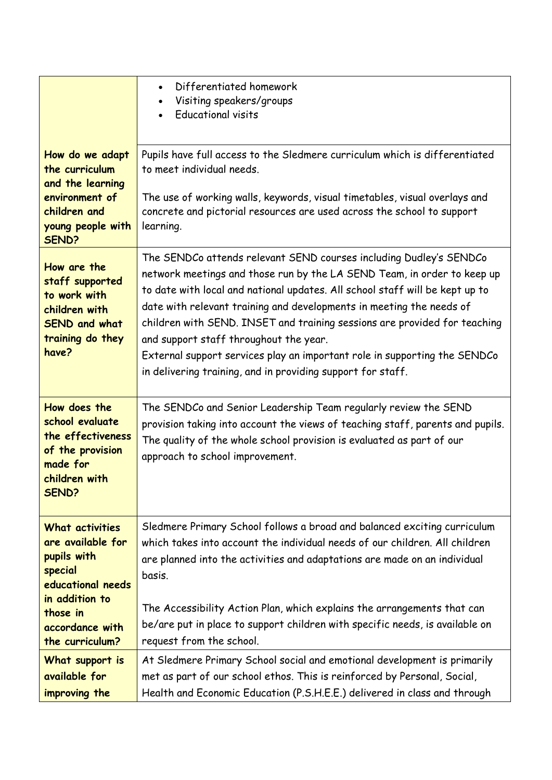|                                                                                                                                                         | Differentiated homework<br>$\bullet$<br>Visiting speakers/groups<br><b>Educational visits</b>                                                                                                                                                                                                                                                                                                                                                                                                                                                                            |
|---------------------------------------------------------------------------------------------------------------------------------------------------------|--------------------------------------------------------------------------------------------------------------------------------------------------------------------------------------------------------------------------------------------------------------------------------------------------------------------------------------------------------------------------------------------------------------------------------------------------------------------------------------------------------------------------------------------------------------------------|
| How do we adapt<br>the curriculum<br>and the learning<br>environment of<br>children and<br>young people with                                            | Pupils have full access to the Sledmere curriculum which is differentiated<br>to meet individual needs.<br>The use of working walls, keywords, visual timetables, visual overlays and<br>concrete and pictorial resources are used across the school to support<br>learning.                                                                                                                                                                                                                                                                                             |
| <b>SEND?</b><br>How are the<br>staff supported<br>to work with<br>children with<br><b>SEND and what</b><br>training do they<br>have?                    | The SENDCo attends relevant SEND courses including Dudley's SENDCo<br>network meetings and those run by the LA SEND Team, in order to keep up<br>to date with local and national updates. All school staff will be kept up to<br>date with relevant training and developments in meeting the needs of<br>children with SEND. INSET and training sessions are provided for teaching<br>and support staff throughout the year.<br>External support services play an important role in supporting the SENDCo<br>in delivering training, and in providing support for staff. |
| How does the<br>school evaluate<br>the effectiveness<br>of the provision<br>made for<br>children with<br>SEND?                                          | The SENDCo and Senior Leadership Team regularly review the SEND<br>provision taking into account the views of teaching staff, parents and pupils.<br>The quality of the whole school provision is evaluated as part of our<br>approach to school improvement.                                                                                                                                                                                                                                                                                                            |
| What activities<br>are available for<br>pupils with<br>special<br>educational needs<br>in addition to<br>those in<br>accordance with<br>the curriculum? | Sledmere Primary School follows a broad and balanced exciting curriculum<br>which takes into account the individual needs of our children. All children<br>are planned into the activities and adaptations are made on an individual<br>basis.<br>The Accessibility Action Plan, which explains the arrangements that can<br>be/are put in place to support children with specific needs, is available on<br>request from the school.                                                                                                                                    |
| What support is<br>available for<br>improving the                                                                                                       | At Sledmere Primary School social and emotional development is primarily<br>met as part of our school ethos. This is reinforced by Personal, Social,<br>Health and Economic Education (P.S.H.E.E.) delivered in class and through                                                                                                                                                                                                                                                                                                                                        |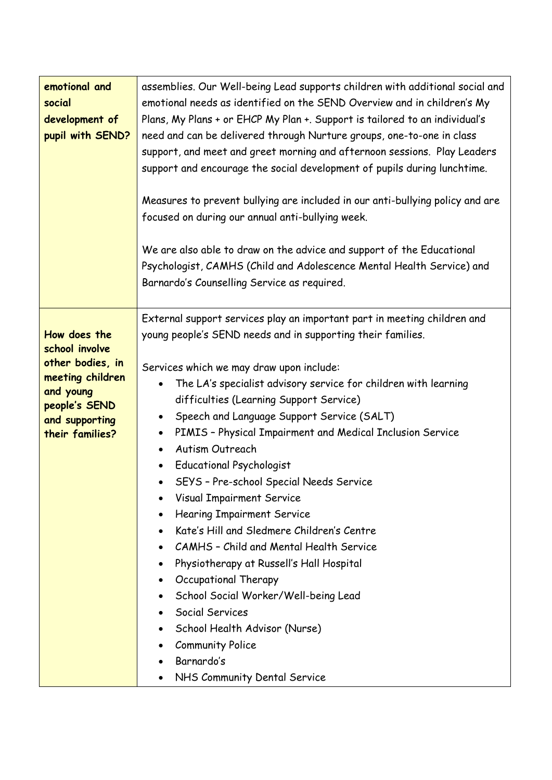| emotional and<br>social<br>development of<br>pupil with SEND?                                                                             | assemblies. Our Well-being Lead supports children with additional social and<br>emotional needs as identified on the SEND Overview and in children's My<br>Plans, My Plans + or EHCP My Plan +. Support is tailored to an individual's<br>need and can be delivered through Nurture groups, one-to-one in class<br>support, and meet and greet morning and afternoon sessions. Play Leaders<br>support and encourage the social development of pupils during lunchtime.<br>Measures to prevent bullying are included in our anti-bullying policy and are<br>focused on during our annual anti-bullying week.<br>We are also able to draw on the advice and support of the Educational<br>Psychologist, CAMHS (Child and Adolescence Mental Health Service) and<br>Barnardo's Counselling Service as required.                                                                                                                                                                                                  |
|-------------------------------------------------------------------------------------------------------------------------------------------|----------------------------------------------------------------------------------------------------------------------------------------------------------------------------------------------------------------------------------------------------------------------------------------------------------------------------------------------------------------------------------------------------------------------------------------------------------------------------------------------------------------------------------------------------------------------------------------------------------------------------------------------------------------------------------------------------------------------------------------------------------------------------------------------------------------------------------------------------------------------------------------------------------------------------------------------------------------------------------------------------------------|
| How does the<br>school involve<br>other bodies, in<br>meeting children<br>and young<br>people's SEND<br>and supporting<br>their families? | External support services play an important part in meeting children and<br>young people's SEND needs and in supporting their families.<br>Services which we may draw upon include:<br>The LA's specialist advisory service for children with learning<br>difficulties (Learning Support Service)<br>Speech and Language Support Service (SALT)<br>$\bullet$<br>PIMIS - Physical Impairment and Medical Inclusion Service<br>$\bullet$<br><b>Autism Outreach</b><br>$\bullet$<br><b>Educational Psychologist</b><br>$\bullet$<br>SEYS - Pre-school Special Needs Service<br><b>Visual Impairment Service</b><br><b>Hearing Impairment Service</b><br>Kate's Hill and Sledmere Children's Centre<br>٠<br><b>CAMHS - Child and Mental Health Service</b><br>Physiotherapy at Russell's Hall Hospital<br>٠<br>Occupational Therapy<br>٠<br>School Social Worker/Well-being Lead<br>٠<br>Social Services<br>School Health Advisor (Nurse)<br><b>Community Police</b><br>Barnardo's<br>NHS Community Dental Service |